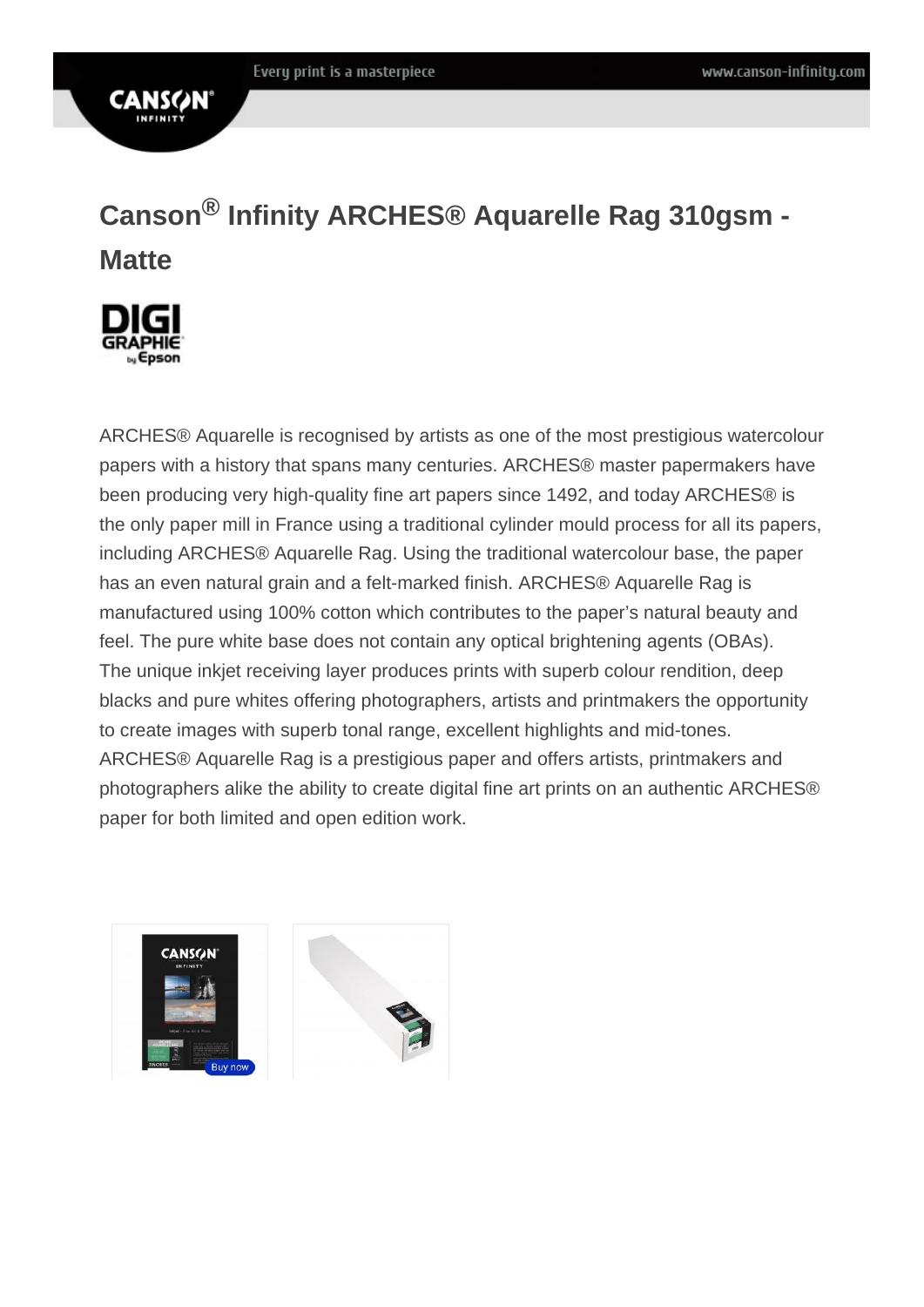## Canson ® Infinity ARCHES® Aquarelle Rag 310gsm - **Matte**

ARCHES® Aquarelle is recognised by artists as one of the most prestigious watercolour papers with a history that spans many centuries. ARCHES® master papermakers have been producing very high-quality fine art papers since 1492, and today ARCHES® is the only paper mill in France using a traditional cylinder mould process for all its papers, including ARCHES® Aquarelle Rag. Using the traditional watercolour base, the paper has an even natural grain and a felt-marked finish. ARCHES® Aquarelle Rag is manufactured using 100% cotton which contributes to the paper's natural beauty and feel. The pure white base does not contain any optical brightening agents (OBAs). The unique inkjet receiving layer produces prints with superb colour rendition, deep blacks and pure whites offering photographers, artists and printmakers the opportunity to create images with superb tonal range, excellent highlights and mid-tones. ARCHES® Aquarelle Rag is a prestigious paper and offers artists, printmakers and photographers alike the ability to create digital fine art prints on an authentic ARCHES® paper for both limited and open edition work.

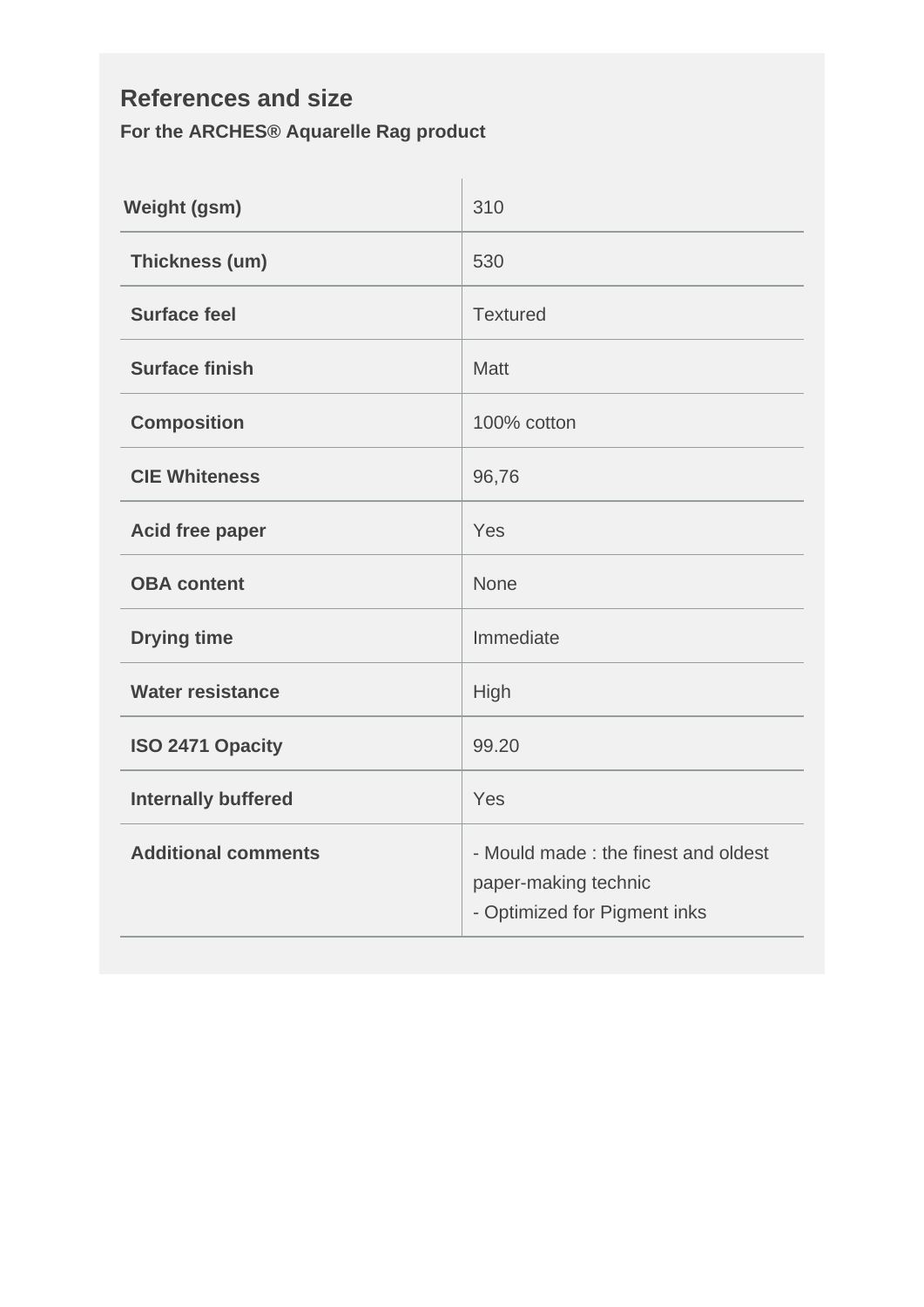## **References and size For the ARCHES® Aquarelle Rag product**

| <b>Weight (gsm)</b>        | 310                                                                                          |  |
|----------------------------|----------------------------------------------------------------------------------------------|--|
| Thickness (um)             | 530                                                                                          |  |
| <b>Surface feel</b>        | <b>Textured</b>                                                                              |  |
| <b>Surface finish</b>      | <b>Matt</b>                                                                                  |  |
| <b>Composition</b>         | 100% cotton                                                                                  |  |
| <b>CIE Whiteness</b>       | 96,76                                                                                        |  |
| <b>Acid free paper</b>     | Yes                                                                                          |  |
| <b>OBA content</b>         | <b>None</b>                                                                                  |  |
| <b>Drying time</b>         | Immediate                                                                                    |  |
| <b>Water resistance</b>    | High                                                                                         |  |
| ISO 2471 Opacity           | 99.20                                                                                        |  |
| <b>Internally buffered</b> | Yes                                                                                          |  |
| <b>Additional comments</b> | - Mould made : the finest and oldest<br>paper-making technic<br>- Optimized for Pigment inks |  |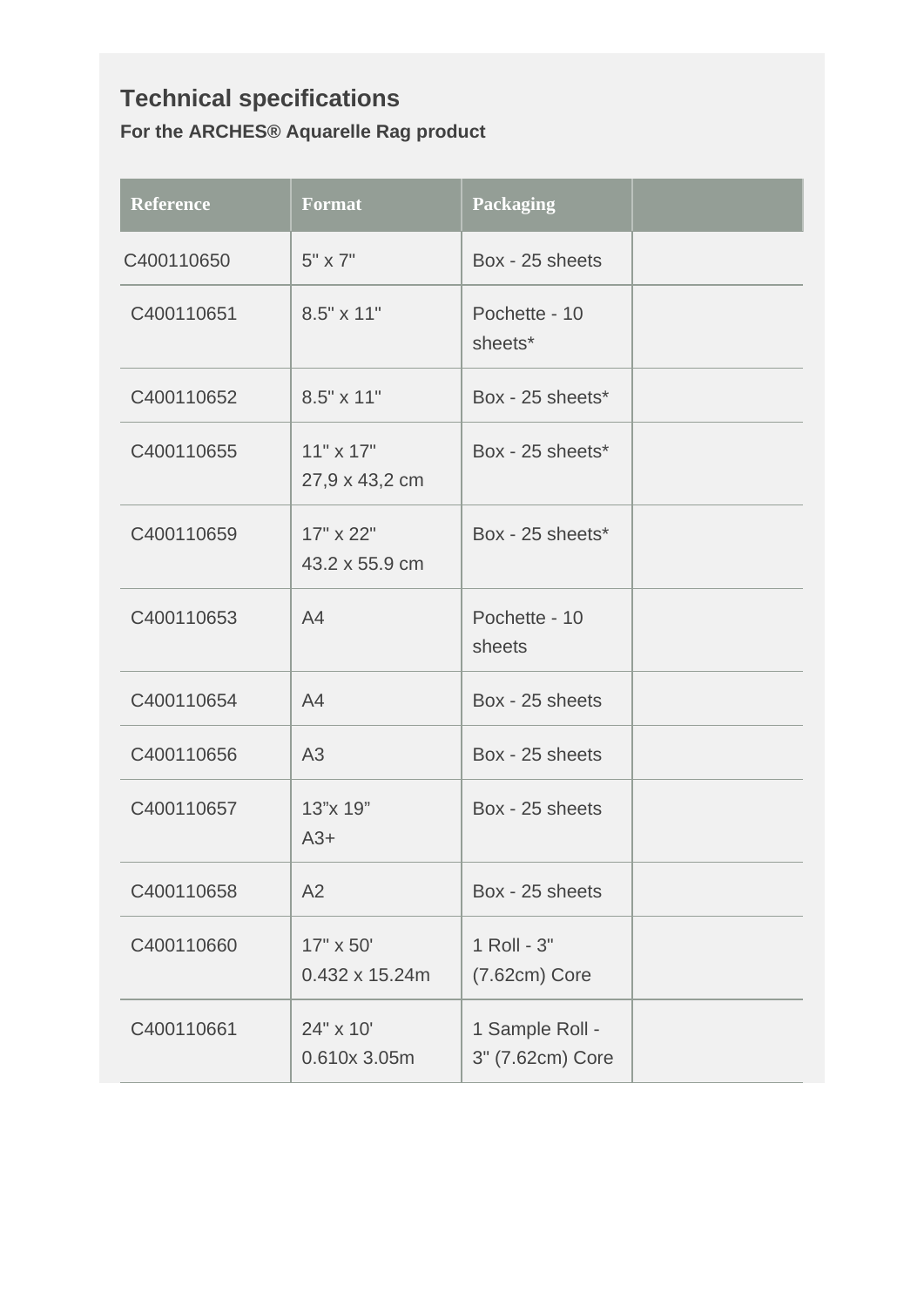## **Technical specifications For the ARCHES® Aquarelle Rag product**

| <b>Reference</b> | <b>Format</b>                      | <b>Packaging</b>                    |  |
|------------------|------------------------------------|-------------------------------------|--|
| C400110650       | $5" \times 7"$                     | Box - 25 sheets                     |  |
| C400110651       | 8.5" x 11"                         | Pochette - 10<br>sheets*            |  |
| C400110652       | 8.5" x 11"                         | Box - 25 sheets*                    |  |
| C400110655       | $11" \times 17"$<br>27,9 x 43,2 cm | Box - 25 sheets*                    |  |
| C400110659       | $17" \times 22"$<br>43.2 x 55.9 cm | Box - 25 sheets*                    |  |
| C400110653       | A4                                 | Pochette - 10<br>sheets             |  |
| C400110654       | A4                                 | Box - 25 sheets                     |  |
| C400110656       | A3                                 | Box - 25 sheets                     |  |
| C400110657       | 13"x 19"<br>$A3+$                  | Box - 25 sheets                     |  |
| C400110658       | A2                                 | Box - 25 sheets                     |  |
| C400110660       | 17" x 50'<br>0.432 x 15.24m        | 1 Roll - 3"<br>$(7.62cm)$ Core      |  |
| C400110661       | 24" x 10"<br>0.610x 3.05m          | 1 Sample Roll -<br>3" (7.62cm) Core |  |